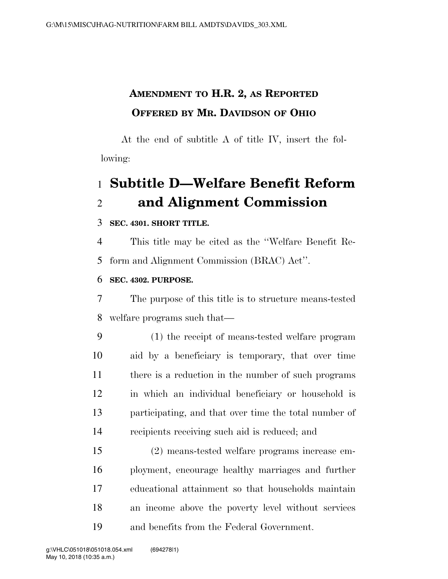## **AMENDMENT TO H.R. 2, AS REPORTED OFFERED BY MR. DAVIDSON OF OHIO**

At the end of subtitle A of title IV, insert the following:

# **Subtitle D—Welfare Benefit Reform and Alignment Commission**

### **SEC. 4301. SHORT TITLE.**

 This title may be cited as the ''Welfare Benefit Re-form and Alignment Commission (BRAC) Act''.

### **SEC. 4302. PURPOSE.**

 The purpose of this title is to structure means-tested welfare programs such that—

 (1) the receipt of means-tested welfare program aid by a beneficiary is temporary, that over time 11 there is a reduction in the number of such programs in which an individual beneficiary or household is participating, and that over time the total number of recipients receiving such aid is reduced; and

 (2) means-tested welfare programs increase em- ployment, encourage healthy marriages and further educational attainment so that households maintain an income above the poverty level without services and benefits from the Federal Government.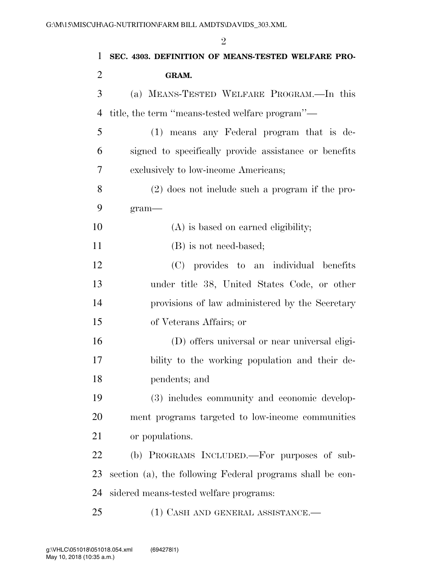| 1              | SEC. 4303. DEFINITION OF MEANS-TESTED WELFARE PRO-        |
|----------------|-----------------------------------------------------------|
| $\overline{2}$ | GRAM.                                                     |
| 3              | (a) MEANS-TESTED WELFARE PROGRAM.-In this                 |
| $\overline{4}$ | title, the term "means-tested welfare program"—           |
| 5              | (1) means any Federal program that is de-                 |
| 6              | signed to specifically provide assistance or benefits     |
| 7              | exclusively to low-income Americans;                      |
| 8              | $(2)$ does not include such a program if the pro-         |
| 9              | $gram$ —                                                  |
| 10             | (A) is based on earned eligibility;                       |
| 11             | (B) is not need-based;                                    |
| 12             | (C) provides to an individual benefits                    |
| 13             | under title 38, United States Code, or other              |
| 14             | provisions of law administered by the Secretary           |
| 15             | of Veterans Affairs; or                                   |
| 16             | (D) offers universal or near universal eligi-             |
| 17             | bility to the working population and their de-            |
| 18             | pendents; and                                             |
| 19             | (3) includes community and economic develop-              |
| 20             | ment programs targeted to low-income communities          |
| 21             | or populations.                                           |
| 22             | (b) PROGRAMS INCLUDED.—For purposes of sub-               |
| 23             | section (a), the following Federal programs shall be con- |
| 24             | sidered means-tested welfare programs:                    |
| 25             | (1) CASH AND GENERAL ASSISTANCE.—                         |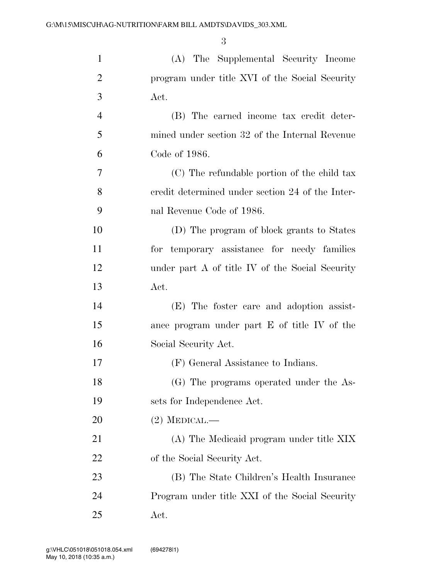| $\mathbf{1}$   | (A) The Supplemental Security Income             |
|----------------|--------------------------------------------------|
| $\overline{2}$ | program under title XVI of the Social Security   |
| 3              | Act.                                             |
| $\overline{4}$ | (B) The earned income tax credit deter-          |
| 5              | mined under section 32 of the Internal Revenue   |
| 6              | Code of 1986.                                    |
| 7              | (C) The refundable portion of the child tax      |
| 8              | credit determined under section 24 of the Inter- |
| 9              | nal Revenue Code of 1986.                        |
| 10             | (D) The program of block grants to States        |
| 11             | for temporary assistance for needy families      |
| 12             | under part A of title IV of the Social Security  |
| 13             | Act.                                             |
| 14             | (E) The foster care and adoption assist-         |
| 15             | ance program under part E of title IV of the     |
| 16             | Social Security Act.                             |
| 17             | (F) General Assistance to Indians.               |
| 18             | (G) The programs operated under the As-          |
| 19             | sets for Independence Act.                       |
| 20             | $(2)$ MEDICAL.—                                  |
| 21             | (A) The Medicaid program under title XIX         |
| 22             | of the Social Security Act.                      |
| 23             | (B) The State Children's Health Insurance        |
| 24             | Program under title XXI of the Social Security   |
| 25             | Act.                                             |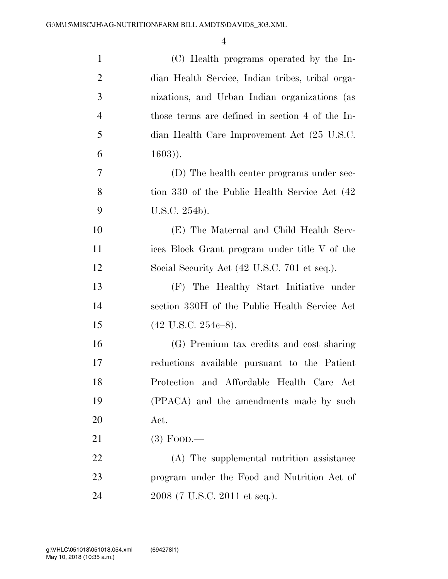| $\mathbf{1}$   | (C) Health programs operated by the In-          |
|----------------|--------------------------------------------------|
| $\overline{2}$ | dian Health Service, Indian tribes, tribal orga- |
| 3              | nizations, and Urban Indian organizations (as    |
| $\overline{4}$ | those terms are defined in section 4 of the In-  |
| 5              | dian Health Care Improvement Act (25 U.S.C.      |
| 6              | $(1603)$ .                                       |
| 7              | (D) The health center programs under sec-        |
| 8              | tion 330 of the Public Health Service Act (42)   |
| 9              | U.S.C. 254b).                                    |
| 10             | (E) The Maternal and Child Health Serv-          |
| 11             | ices Block Grant program under title V of the    |
| 12             | Social Security Act (42 U.S.C. 701 et seq.).     |
| 13             | (F) The Healthy Start Initiative under           |
| 14             | section 330H of the Public Health Service Act    |
| 15             | $(42 \text{ U.S.C. } 254c-8).$                   |
| 16             | (G) Premium tax credits and cost sharing         |
| 17             | reductions available pursuant to the Patient     |
| 18             | Protection and Affordable Health Care Act        |
| 19             | (PPACA) and the amendments made by such          |
| <b>20</b>      | Act.                                             |
| 21             | $(3)$ Food.—                                     |
| 22             | (A) The supplemental nutrition assistance        |
| 23             | program under the Food and Nutrition Act of      |
| 24             | 2008 (7 U.S.C. 2011 et seq.).                    |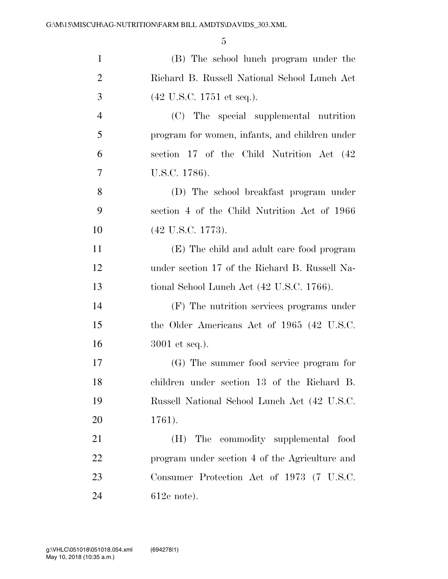| $\mathbf{1}$   | (B) The school lunch program under the         |
|----------------|------------------------------------------------|
| $\overline{2}$ | Richard B. Russell National School Lunch Act   |
| 3              | $(42 \text{ U.S.C. } 1751 \text{ et seq.}).$   |
| $\overline{4}$ | (C) The special supplemental nutrition         |
| 5              | program for women, infants, and children under |
| 6              | section 17 of the Child Nutrition Act (42)     |
| 7              | U.S.C. 1786).                                  |
| 8              | (D) The school breakfast program under         |
| 9              | section 4 of the Child Nutrition Act of 1966   |
| 10             | $(42 \text{ U.S.C. } 1773).$                   |
| 11             | (E) The child and adult care food program      |
| 12             | under section 17 of the Richard B. Russell Na- |
| 13             | tional School Lunch Act (42 U.S.C. 1766).      |
| 14             | (F) The nutrition services programs under      |
| 15             | the Older Americans Act of 1965 (42 U.S.C.     |
| 16             | $3001$ et seq.).                               |
| 17             | (G) The summer food service program for        |
| 18             | children under section 13 of the Richard B.    |
| 19             | Russell National School Lunch Act (42 U.S.C.   |
| 20             | 1761).                                         |
| 21             | (H) The commodity supplemental food            |
| 22             | program under section 4 of the Agriculture and |
| 23             | Consumer Protection Act of 1973 (7 U.S.C.      |
| 24             | $612c$ note).                                  |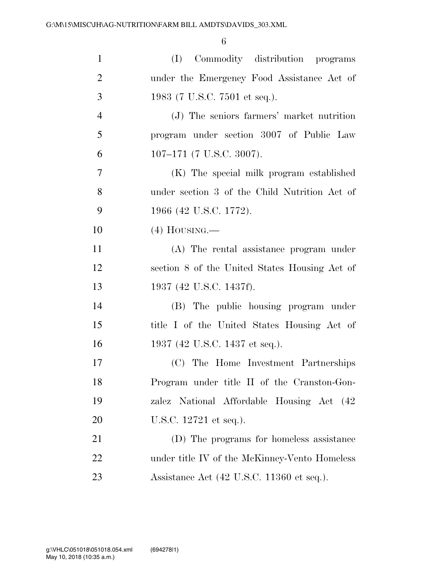| $\mathbf{1}$   | (I) Commodity distribution programs           |
|----------------|-----------------------------------------------|
| $\overline{2}$ | under the Emergency Food Assistance Act of    |
| 3              | 1983 (7 U.S.C. 7501 et seq.).                 |
| $\overline{4}$ | (J) The seniors farmers' market nutrition     |
| 5              | program under section 3007 of Public Law      |
| 6              | $107-171$ (7 U.S.C. 3007).                    |
| $\overline{7}$ | (K) The special milk program established      |
| 8              | under section 3 of the Child Nutrition Act of |
| 9              | 1966 (42 U.S.C. 1772).                        |
| 10             | $(4)$ HOUSING.—                               |
| 11             | (A) The rental assistance program under       |
| 12             | section 8 of the United States Housing Act of |
| 13             | 1937 (42 U.S.C. 1437f).                       |
| 14             | (B) The public housing program under          |
| 15             | title I of the United States Housing Act of   |
| 16             | 1937 (42 U.S.C. 1437 et seq.).                |
| 17             | (C) The Home Investment Partnerships          |
| 18             | Program under title II of the Cranston-Gon-   |
| 19             | zalez National Affordable Housing Act (42     |
| 20             | U.S.C. 12721 et seq.).                        |
| 21             | (D) The programs for homeless assistance      |
| 22             | under title IV of the McKinney-Vento Homeless |
| 23             | Assistance Act (42 U.S.C. 11360 et seq.).     |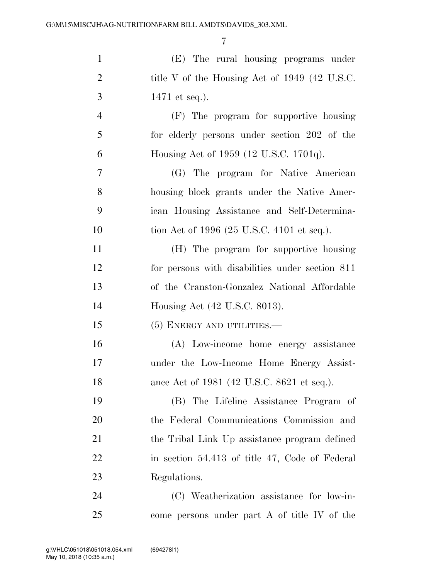| $\mathbf{1}$   | (E) The rural housing programs under            |
|----------------|-------------------------------------------------|
| $\overline{2}$ | title V of the Housing Act of 1949 (42 U.S.C.   |
| 3              | 1471 et seq.).                                  |
| $\overline{4}$ | (F) The program for supportive housing          |
| 5              | for elderly persons under section 202 of the    |
| 6              | Housing Act of 1959 (12 U.S.C. 1701q).          |
| $\overline{7}$ | (G) The program for Native American             |
| 8              | housing block grants under the Native Amer-     |
| 9              | ican Housing Assistance and Self-Determina-     |
| 10             | tion Act of 1996 (25 U.S.C. 4101 et seq.).      |
| 11             | (H) The program for supportive housing          |
| 12             | for persons with disabilities under section 811 |
| 13             | of the Cranston-Gonzalez National Affordable    |
| 14             | Housing Act (42 U.S.C. 8013).                   |
| 15             | $(5)$ ENERGY AND UTILITIES.—                    |
| 16             | (A) Low-income home energy assistance           |
| 17             | under the Low-Income Home Energy Assist-        |
| 18             | ance Act of 1981 (42 U.S.C. 8621 et seq.).      |
| 19             | (B) The Lifeline Assistance Program of          |
| 20             | the Federal Communications Commission and       |
| 21             | the Tribal Link Up assistance program defined   |
| 22             | in section 54.413 of title 47, Code of Federal  |
| 23             | Regulations.                                    |
| 24             | (C) Weatherization assistance for low-in-       |
| 25             | come persons under part A of title IV of the    |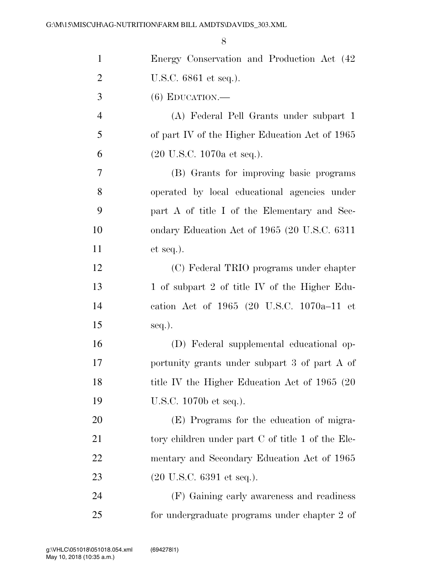| $\mathbf{1}$   | Energy Conservation and Production Act (42        |
|----------------|---------------------------------------------------|
| $\overline{2}$ | U.S.C. 6861 et seq.).                             |
| 3              | $(6)$ EDUCATION.—                                 |
| $\overline{4}$ | (A) Federal Pell Grants under subpart 1           |
| 5              | of part IV of the Higher Education Act of 1965    |
| 6              | $(20 \text{ U.S.C. } 1070a \text{ et seq.}).$     |
| 7              | (B) Grants for improving basic programs           |
| 8              | operated by local educational agencies under      |
| 9              | part A of title I of the Elementary and Sec-      |
| 10             | ondary Education Act of 1965 (20 U.S.C. 6311)     |
| 11             | $et seq.$ ).                                      |
| 12             | (C) Federal TRIO programs under chapter           |
| 13             | 1 of subpart 2 of title IV of the Higher Edu-     |
| 14             | cation Act of 1965 (20 U.S.C. 1070a-11 et         |
| 15             | seq.).                                            |
| 16             | (D) Federal supplemental educational op-          |
| 17             | portunity grants under subpart 3 of part A of     |
| 18             | title IV the Higher Education Act of 1965 (20)    |
| 19             | U.S.C. 1070b et seq.).                            |
| 20             | (E) Programs for the education of migra-          |
| 21             | tory children under part C of title 1 of the Ele- |
| 22             | mentary and Secondary Education Act of 1965       |
| 23             | $(20 \text{ U.S.C. } 6391 \text{ et seq.}).$      |
| 24             | (F) Gaining early awareness and readiness         |
| 25             | for undergraduate programs under chapter 2 of     |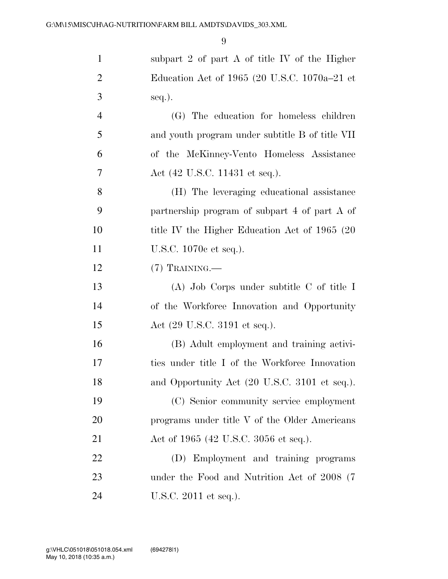| $\mathbf{1}$   | subpart 2 of part $A$ of title IV of the Higher |
|----------------|-------------------------------------------------|
| $\overline{2}$ | Education Act of 1965 (20 U.S.C. 1070a-21 et    |
| 3              | seq.).                                          |
| $\overline{4}$ | (G) The education for homeless children         |
| 5              | and youth program under subtitle B of title VII |
| 6              | of the McKinney-Vento Homeless Assistance       |
| 7              | Act (42 U.S.C. 11431 et seq.).                  |
| 8              | (H) The leveraging educational assistance       |
| 9              | partnership program of subpart 4 of part A of   |
| 10             | title IV the Higher Education Act of 1965 (20)  |
| 11             | U.S.C. 1070c et seq.).                          |
| 12             | $(7)$ TRAINING.—                                |
| 13             | $(A)$ Job Corps under subtitle C of title I     |
| 14             | of the Workforce Innovation and Opportunity     |
| 15             | Act (29 U.S.C. 3191 et seq.).                   |
| 16             | (B) Adult employment and training activi-       |
| 17             | ties under title I of the Workforce Innovation  |
| 18             | and Opportunity Act (20 U.S.C. 3101 et seq.).   |
| 19             | (C) Senior community service employment         |
| 20             | programs under title V of the Older Americans   |
| 21             | Act of 1965 (42 U.S.C. 3056 et seq.).           |
| 22             | (D) Employment and training programs            |
| 23             | under the Food and Nutrition Act of 2008 (7)    |
| 24             | U.S.C. 2011 et seq.).                           |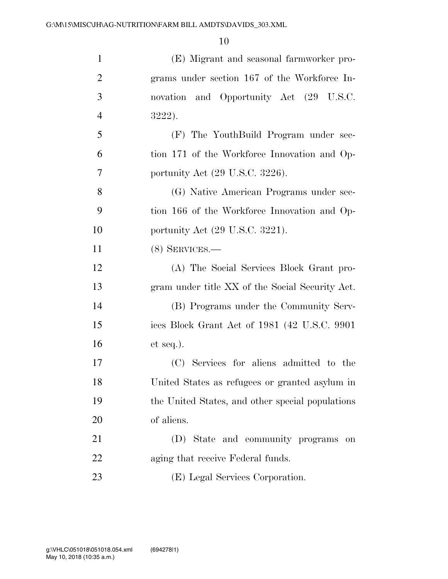| $\mathbf{1}$   | (E) Migrant and seasonal farmworker pro-         |
|----------------|--------------------------------------------------|
| $\mathfrak{2}$ | grams under section 167 of the Workforce In-     |
| 3              | and Opportunity Act (29 U.S.C.<br>novation       |
| $\overline{4}$ | 3222).                                           |
| 5              | (F) The YouthBuild Program under sec-            |
| 6              | tion 171 of the Workforce Innovation and Op-     |
| 7              | portunity Act (29 U.S.C. 3226).                  |
| 8              | (G) Native American Programs under sec-          |
| 9              | tion 166 of the Workforce Innovation and Op-     |
| 10             | portunity Act $(29 \text{ U.S.C. } 3221)$ .      |
| 11             | $(8)$ SERVICES.—                                 |
| 12             | (A) The Social Services Block Grant pro-         |
| 13             | gram under title XX of the Social Security Act.  |
| 14             | (B) Programs under the Community Serv-           |
| 15             | ices Block Grant Act of 1981 (42 U.S.C. 9901)    |
| 16             | $et seq.$ ).                                     |
| 17             | (C) Services for aliens admitted to the          |
| 18             | United States as refugees or granted asylum in   |
| 19             | the United States, and other special populations |
| 20             | of aliens.                                       |
| 21             | (D) State and community programs<br>on           |
| 22             | aging that receive Federal funds.                |
| 23             | (E) Legal Services Corporation.                  |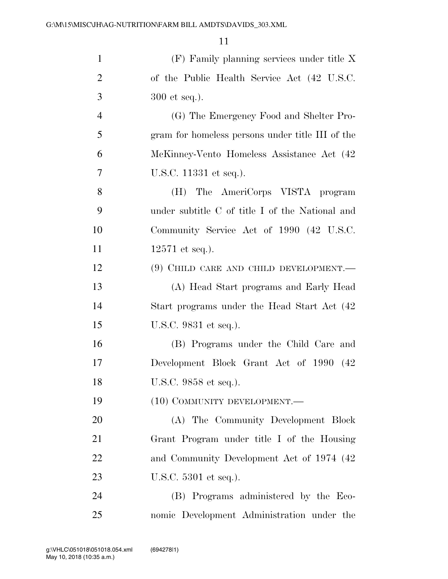| $\mathbf{1}$   | $(F)$ Family planning services under title X     |
|----------------|--------------------------------------------------|
| $\overline{2}$ | of the Public Health Service Act (42 U.S.C.      |
| 3              | $300$ et seq.).                                  |
| $\overline{4}$ | (G) The Emergency Food and Shelter Pro-          |
| 5              | gram for homeless persons under title III of the |
| 6              | McKinney-Vento Homeless Assistance Act (42       |
| 7              | U.S.C. 11331 et seq.).                           |
| 8              | The AmeriCorps VISTA program<br>(H)              |
| 9              | under subtitle C of title I of the National and  |
| 10             | Community Service Act of 1990 (42 U.S.C.         |
| 11             | $12571$ et seq.).                                |
| 12             | (9) CHILD CARE AND CHILD DEVELOPMENT.—           |
| 13             | (A) Head Start programs and Early Head           |
| 14             | Start programs under the Head Start Act (42)     |
| 15             | U.S.C. 9831 et seq.).                            |
| 16             | (B) Programs under the Child Care and            |
| 17             | Development Block Grant Act of 1990 (42)         |
| 18             | U.S.C. 9858 et seq.).                            |
| 19             | $(10)$ COMMUNITY DEVELOPMENT.—                   |
| 20             | (A) The Community Development Block              |
| 21             | Grant Program under title I of the Housing       |
| 22             | and Community Development Act of 1974 (42)       |
| 23             | U.S.C. 5301 et seq.).                            |
| 24             | (B) Programs administered by the Eco-            |
| 25             | nomic Development Administration under the       |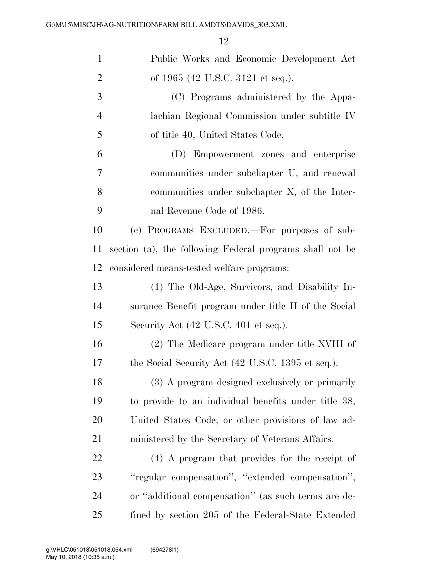| $\mathbf{1}$   | Public Works and Economic Development Act                |
|----------------|----------------------------------------------------------|
|                |                                                          |
| $\overline{2}$ | of 1965 (42 U.S.C. 3121 et seq.).                        |
| 3              | (C) Programs administered by the Appa-                   |
| $\overline{4}$ | lachian Regional Commission under subtitle IV            |
| 5              | of title 40, United States Code.                         |
| 6              | (D) Empowerment zones and enterprise                     |
| 7              | communities under subchapter U, and renewal              |
| 8              | communities under subchapter X, of the Inter-            |
| 9              | nal Revenue Code of 1986.                                |
| 10             | (c) PROGRAMS EXCLUDED.—For purposes of sub-              |
| 11             | section (a), the following Federal programs shall not be |
| 12             | considered means-tested welfare programs:                |
| 13             | (1) The Old-Age, Survivors, and Disability In-           |
| 14             | surance Benefit program under title II of the Social     |
| 15             | Security Act (42 U.S.C. 401 et seq.).                    |
| 16             | (2) The Medicare program under title XVIII of            |
| 17             | the Social Security Act (42 U.S.C. 1395 et seq.).        |
| 18             | (3) A program designed exclusively or primarily          |
| 19             | to provide to an individual benefits under title 38,     |
| 20             | United States Code, or other provisions of law ad-       |
| 21             | ministered by the Secretary of Veterans Affairs.         |
| 22             | (4) A program that provides for the receipt of           |
| 23             | "regular compensation", "extended compensation",         |
| 24             | or "additional compensation" (as such terms are de-      |
| 25             | fined by section 205 of the Federal-State Extended       |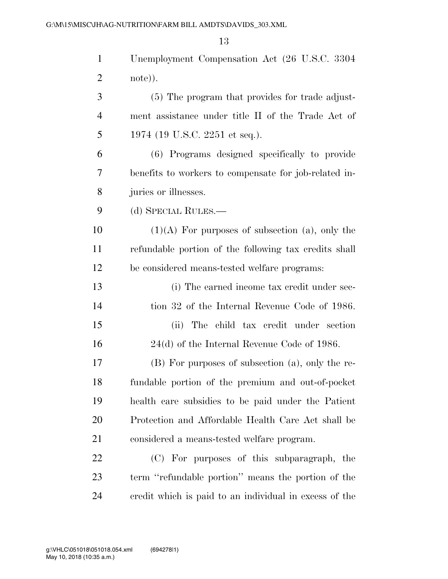| $\mathbf{1}$   | Unemployment Compensation Act (26 U.S.C. 3304          |
|----------------|--------------------------------------------------------|
| $\overline{2}$ | note)).                                                |
| 3              | (5) The program that provides for trade adjust-        |
| $\overline{4}$ | ment assistance under title II of the Trade Act of     |
| 5              | 1974 (19 U.S.C. 2251 et seq.).                         |
| 6              | (6) Programs designed specifically to provide          |
| 7              | benefits to workers to compensate for job-related in-  |
| 8              | juries or illnesses.                                   |
| 9              | (d) SPECIAL RULES.—                                    |
| 10             | $(1)(A)$ For purposes of subsection (a), only the      |
| 11             | refundable portion of the following tax credits shall  |
| 12             | be considered means-tested welfare programs:           |
| 13             | (i) The earned income tax credit under sec-            |
| 14             | tion 32 of the Internal Revenue Code of 1986.          |
| 15             | The child tax credit under section<br>(ii)             |
| 16             | $24(d)$ of the Internal Revenue Code of 1986.          |
| 17             | (B) For purposes of subsection (a), only the re-       |
| 18             | fundable portion of the premium and out-of-pocket      |
| 19             | health care subsidies to be paid under the Patient     |
| 20             | Protection and Affordable Health Care Act shall be     |
| 21             | considered a means-tested welfare program.             |
| 22             | (C) For purposes of this subparagraph, the             |
| 23             | term "refundable portion" means the portion of the     |
| 24             | credit which is paid to an individual in excess of the |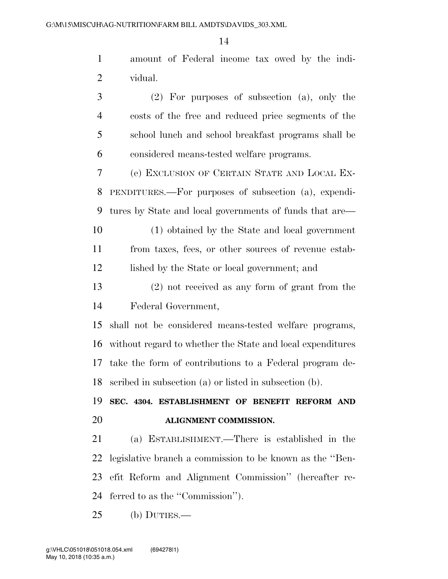amount of Federal income tax owed by the indi-vidual.

 (2) For purposes of subsection (a), only the costs of the free and reduced price segments of the school lunch and school breakfast programs shall be considered means-tested welfare programs.

 (e) EXCLUSION OF CERTAIN STATE AND LOCAL EX- PENDITURES.—For purposes of subsection (a), expendi-tures by State and local governments of funds that are—

 (1) obtained by the State and local government from taxes, fees, or other sources of revenue estab-12 lished by the State or local government; and

 (2) not received as any form of grant from the Federal Government,

 shall not be considered means-tested welfare programs, without regard to whether the State and local expenditures take the form of contributions to a Federal program de-scribed in subsection (a) or listed in subsection (b).

 **SEC. 4304. ESTABLISHMENT OF BENEFIT REFORM AND ALIGNMENT COMMISSION.** 

 (a) ESTABLISHMENT.—There is established in the legislative branch a commission to be known as the ''Ben- efit Reform and Alignment Commission'' (hereafter re-ferred to as the ''Commission'').

(b) DUTIES.—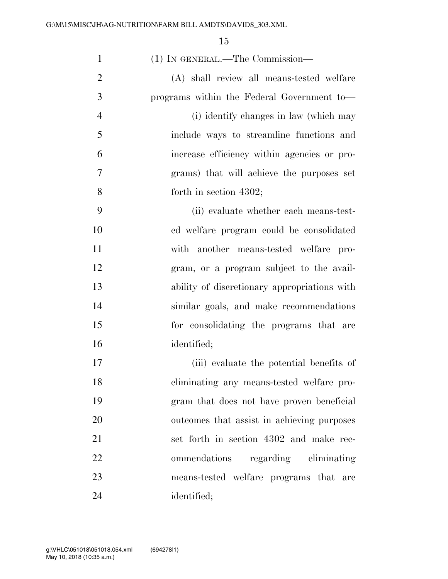| $\mathbf{1}$   | (1) IN GENERAL.—The Commission—              |
|----------------|----------------------------------------------|
| $\overline{2}$ | (A) shall review all means-tested welfare    |
| 3              | programs within the Federal Government to-   |
| $\overline{4}$ | (i) identify changes in law (which may       |
| 5              | include ways to streamline functions and     |
| 6              | increase efficiency within agencies or pro-  |
| 7              | grams) that will achieve the purposes set    |
| 8              | forth in section $4302$ ;                    |
| 9              | (ii) evaluate whether each means-test-       |
| 10             | ed welfare program could be consolidated     |
| 11             | with another means-tested welfare<br>pro-    |
| 12             | gram, or a program subject to the avail-     |
| 13             | ability of discretionary appropriations with |
| 14             | similar goals, and make recommendations      |
| 15             | for consolidating the programs that are      |
| 16             | identified;                                  |
| 17             | (iii) evaluate the potential benefits of     |
| 18             | eliminating any means-tested welfare pro-    |
| 19             | gram that does not have proven beneficial    |
| 20             | outcomes that assist in achieving purposes   |
| 21             | set forth in section 4302 and make rec-      |
| 22             | ommendations regarding eliminating           |
| 23             | means-tested welfare programs that are       |
| 24             | identified;                                  |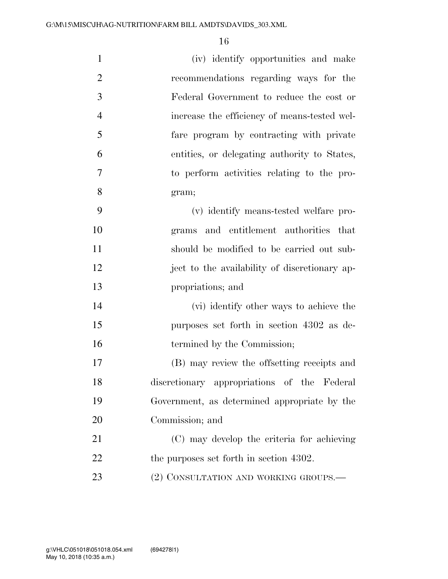| $\mathbf{1}$   | (iv) identify opportunities and make          |
|----------------|-----------------------------------------------|
| $\overline{2}$ | recommendations regarding ways for the        |
| 3              | Federal Government to reduce the cost or      |
| $\overline{4}$ | increase the efficiency of means-tested wel-  |
| 5              | fare program by contracting with private      |
| 6              | entities, or delegating authority to States,  |
| 7              | to perform activities relating to the pro-    |
| 8              | gram;                                         |
| 9              | (v) identify means-tested welfare pro-        |
| 10             | grams and entitlement authorities that        |
| 11             | should be modified to be carried out sub-     |
| 12             | ject to the availability of discretionary ap- |
| 13             | propriations; and                             |
| 14             | (vi) identify other ways to achieve the       |
| 15             | purposes set forth in section 4302 as de-     |
| 16             | termined by the Commission;                   |
| 17             | (B) may review the offsetting receipts and    |
| 18             | discretionary appropriations of the Federal   |
| 19             | Government, as determined appropriate by the  |
| 20             | Commission; and                               |
| 21             | (C) may develop the criteria for achieving    |
| 22             | the purposes set forth in section 4302.       |
| 23             | (2) CONSULTATION AND WORKING GROUPS.—         |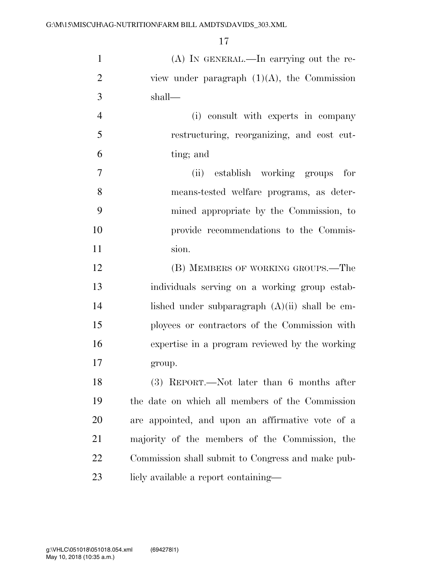| $\mathbf{1}$   | (A) IN GENERAL.—In carrying out the re-           |
|----------------|---------------------------------------------------|
| $\overline{2}$ | view under paragraph $(1)(A)$ , the Commission    |
| 3              | shall—                                            |
| $\overline{4}$ | (i) consult with experts in company               |
| 5              | restructuring, reorganizing, and cost cut-        |
| 6              | ting; and                                         |
| 7              | (ii) establish working groups<br>for              |
| 8              | means-tested welfare programs, as deter-          |
| 9              | mined appropriate by the Commission, to           |
| 10             | provide recommendations to the Commis-            |
| 11             | sion.                                             |
| 12             | (B) MEMBERS OF WORKING GROUPS.—The                |
| 13             | individuals serving on a working group estab-     |
| 14             | lished under subparagraph $(A)(ii)$ shall be em-  |
| 15             | ployees or contractors of the Commission with     |
| 16             | expertise in a program reviewed by the working    |
| 17             | group.                                            |
| 18             | (3) REPORT.—Not later than 6 months after         |
| 19             | the date on which all members of the Commission   |
| 20             | are appointed, and upon an affirmative vote of a  |
| 21             | majority of the members of the Commission, the    |
| 22             | Commission shall submit to Congress and make pub- |
| 23             | licly available a report containing—              |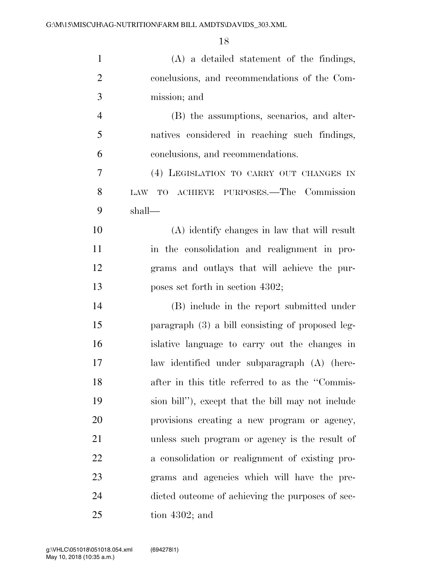| $\mathbf{1}$   | $(A)$ a detailed statement of the findings,       |
|----------------|---------------------------------------------------|
| $\overline{2}$ | conclusions, and recommendations of the Com-      |
| 3              | mission; and                                      |
| $\overline{4}$ | (B) the assumptions, scenarios, and alter-        |
| 5              | natives considered in reaching such findings,     |
| 6              | conclusions, and recommendations.                 |
| 7              | (4) LEGISLATION TO CARRY OUT CHANGES IN           |
| 8              | TO ACHIEVE PURPOSES.—The Commission<br>LAW        |
| 9              | shall-                                            |
| 10             | (A) identify changes in law that will result      |
| 11             | in the consolidation and realignment in pro-      |
| 12             | grams and outlays that will achieve the pur-      |
| 13             | poses set forth in section 4302;                  |
| 14             | (B) include in the report submitted under         |
| 15             | paragraph (3) a bill consisting of proposed leg-  |
| 16             | islative language to carry out the changes in     |
| 17             | law identified under subparagraph (A) (here-      |
| 18             | after in this title referred to as the "Commis-   |
| 19             | sion bill"), except that the bill may not include |
| 20             | provisions creating a new program or agency,      |
| 21             | unless such program or agency is the result of    |
| 22             | a consolidation or realignment of existing pro-   |
| 23             | grams and agencies which will have the pre-       |
| 24             | dicted outcome of achieving the purposes of sec-  |
| 25             | tion $4302$ ; and                                 |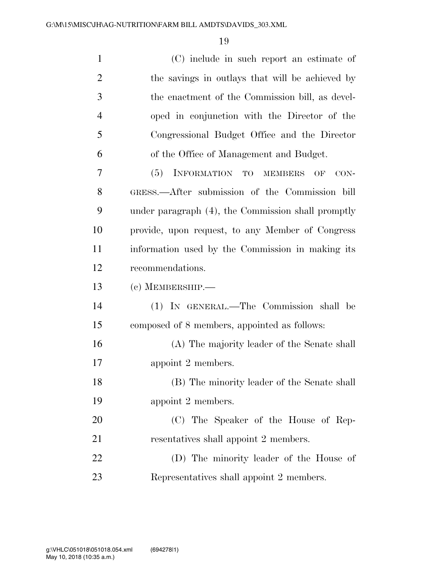| $\mathbf{1}$   | (C) include in such report an estimate of          |
|----------------|----------------------------------------------------|
| $\overline{2}$ | the savings in outlays that will be achieved by    |
| 3              | the enactment of the Commission bill, as devel-    |
| $\overline{4}$ | oped in conjunction with the Director of the       |
| 5              | Congressional Budget Office and the Director       |
| 6              | of the Office of Management and Budget.            |
| 7              | INFORMATION TO MEMBERS<br>(5)<br>OF<br>CON-        |
| 8              | GRESS.—After submission of the Commission bill     |
| 9              | under paragraph (4), the Commission shall promptly |
| 10             | provide, upon request, to any Member of Congress   |
| 11             | information used by the Commission in making its   |
| 12             | recommendations.                                   |
| 13             | $(c)$ MEMBERSHIP.—                                 |
| 14             | (1) IN GENERAL.—The Commission shall be            |
| 15             | composed of 8 members, appointed as follows:       |
| 16             | (A) The majority leader of the Senate shall        |
| 17             | appoint 2 members.                                 |
| 18             | (B) The minority leader of the Senate shall        |
| 19             | appoint 2 members.                                 |
| 20             | (C) The Speaker of the House of Rep-               |
| 21             | resentatives shall appoint 2 members.              |
| 22             | (D) The minority leader of the House of            |
| 23             | Representatives shall appoint 2 members.           |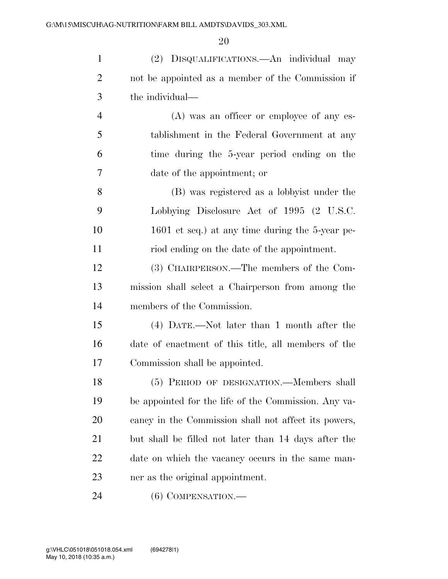| $\mathbf{1}$   | (2) DISQUALIFICATIONS.—An individual may             |
|----------------|------------------------------------------------------|
| $\overline{2}$ | not be appointed as a member of the Commission if    |
| 3              | the individual—                                      |
| $\overline{4}$ | $(A)$ was an officer or employee of any es-          |
| 5              | tablishment in the Federal Government at any         |
| 6              | time during the 5-year period ending on the          |
| 7              | date of the appointment; or                          |
| 8              | (B) was registered as a lobbyist under the           |
| 9              | Lobbying Disclosure Act of 1995 (2 U.S.C.            |
| 10             | 1601 et seq.) at any time during the 5-year pe-      |
| 11             | riod ending on the date of the appointment.          |
| 12             | (3) CHAIRPERSON.—The members of the Com-             |
| 13             | mission shall select a Chairperson from among the    |
| 14             | members of the Commission.                           |
| 15             | (4) DATE.—Not later than 1 month after the           |
| 16             | date of enactment of this title, all members of the  |
| 17             | Commission shall be appointed.                       |
| 18             | (5) PERIOD OF DESIGNATION.—Members shall             |
| 19             | be appointed for the life of the Commission. Any va- |
| 20             | cancy in the Commission shall not affect its powers, |
| 21             | but shall be filled not later than 14 days after the |
| 22             | date on which the vacancy occurs in the same man-    |
| 23             | ner as the original appointment.                     |
| 24             | $(6)$ COMPENSATION.—                                 |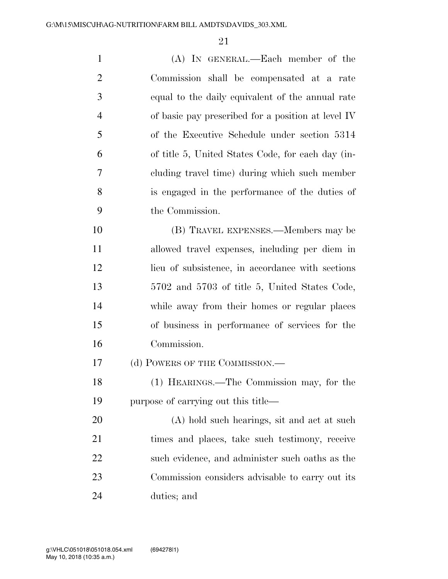| $\mathbf{1}$   | (A) IN GENERAL.—Each member of the                       |
|----------------|----------------------------------------------------------|
| $\overline{2}$ | Commission shall be compensated at a rate                |
| 3              | equal to the daily equivalent of the annual rate         |
| $\overline{4}$ | of basic pay prescribed for a position at level $\Gamma$ |
| 5              | of the Executive Schedule under section 5314             |
| 6              | of title 5, United States Code, for each day (in-        |
| 7              | cluding travel time) during which such member            |
| 8              | is engaged in the performance of the duties of           |
| 9              | the Commission.                                          |
| 10             | (B) TRAVEL EXPENSES.—Members may be                      |
| 11             | allowed travel expenses, including per diem in           |
| 12             | lieu of subsistence, in accordance with sections         |
| 13             | 5702 and 5703 of title 5, United States Code,            |
| 14             | while away from their homes or regular places            |
| 15             | of business in performance of services for the           |
| 16             | Commission.                                              |
| 17             | (d) POWERS OF THE COMMISSION.—                           |
| 18             | (1) HEARINGS.—The Commission may, for the                |
| 19             | purpose of carrying out this title—                      |
| 20             | (A) hold such hearings, sit and act at such              |
| 21             | times and places, take such testimony, receive           |
| 22             | such evidence, and administer such oaths as the          |
| 23             | Commission considers advisable to carry out its          |
| 24             | duties; and                                              |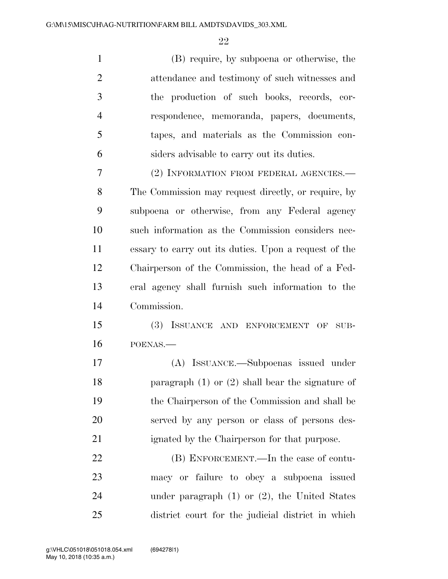(B) require, by subpoena or otherwise, the attendance and testimony of such witnesses and the production of such books, records, cor- respondence, memoranda, papers, documents, tapes, and materials as the Commission con- siders advisable to carry out its duties. (2) INFORMATION FROM FEDERAL AGENCIES.—

 The Commission may request directly, or require, by subpoena or otherwise, from any Federal agency such information as the Commission considers nec- essary to carry out its duties. Upon a request of the Chairperson of the Commission, the head of a Fed- eral agency shall furnish such information to the Commission.

 (3) ISSUANCE AND ENFORCEMENT OF SUB-POENAS.—

 (A) ISSUANCE.—Subpoenas issued under paragraph (1) or (2) shall bear the signature of the Chairperson of the Commission and shall be served by any person or class of persons des-ignated by the Chairperson for that purpose.

22 (B) ENFORCEMENT.—In the case of contu- macy or failure to obey a subpoena issued under paragraph (1) or (2), the United States district court for the judicial district in which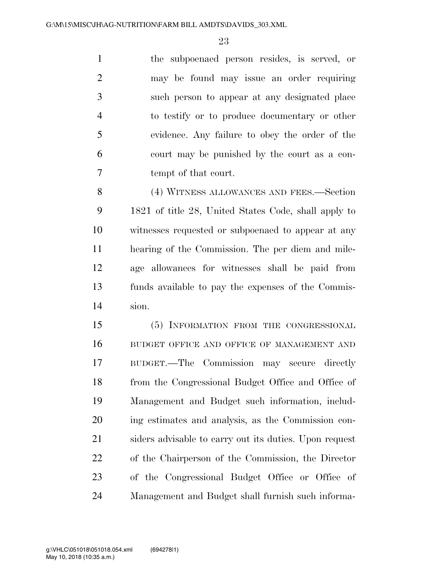the subpoenaed person resides, is served, or may be found may issue an order requiring such person to appear at any designated place to testify or to produce documentary or other evidence. Any failure to obey the order of the court may be punished by the court as a con-tempt of that court.

 (4) WITNESS ALLOWANCES AND FEES.—Section 1821 of title 28, United States Code, shall apply to witnesses requested or subpoenaed to appear at any hearing of the Commission. The per diem and mile- age allowances for witnesses shall be paid from funds available to pay the expenses of the Commis-sion.

 (5) INFORMATION FROM THE CONGRESSIONAL BUDGET OFFICE AND OFFICE OF MANAGEMENT AND BUDGET.—The Commission may secure directly from the Congressional Budget Office and Office of Management and Budget such information, includ- ing estimates and analysis, as the Commission con- siders advisable to carry out its duties. Upon request of the Chairperson of the Commission, the Director of the Congressional Budget Office or Office of Management and Budget shall furnish such informa-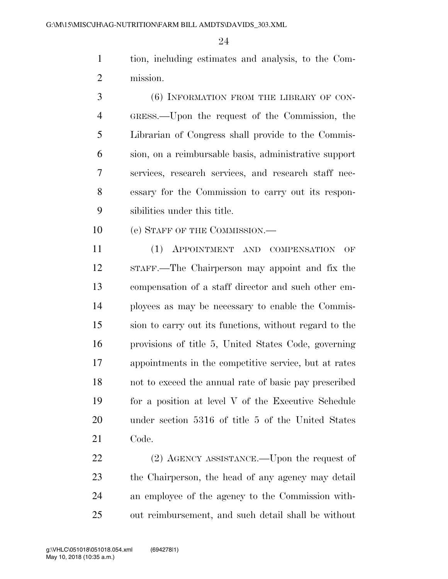tion, including estimates and analysis, to the Com-mission.

 (6) INFORMATION FROM THE LIBRARY OF CON- GRESS.—Upon the request of the Commission, the Librarian of Congress shall provide to the Commis- sion, on a reimbursable basis, administrative support services, research services, and research staff nec- essary for the Commission to carry out its respon-sibilities under this title.

10 (e) STAFF OF THE COMMISSION.—

 (1) APPOINTMENT AND COMPENSATION OF STAFF.—The Chairperson may appoint and fix the compensation of a staff director and such other em- ployees as may be necessary to enable the Commis- sion to carry out its functions, without regard to the provisions of title 5, United States Code, governing appointments in the competitive service, but at rates not to exceed the annual rate of basic pay prescribed for a position at level V of the Executive Schedule under section 5316 of title 5 of the United States Code.

22 (2) AGENCY ASSISTANCE.—Upon the request of the Chairperson, the head of any agency may detail an employee of the agency to the Commission with-out reimbursement, and such detail shall be without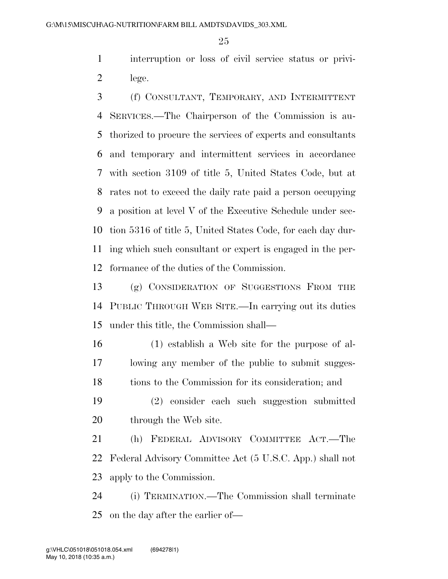interruption or loss of civil service status or privi-lege.

 (f) CONSULTANT, TEMPORARY, AND INTERMITTENT SERVICES.—The Chairperson of the Commission is au- thorized to procure the services of experts and consultants and temporary and intermittent services in accordance with section 3109 of title 5, United States Code, but at rates not to exceed the daily rate paid a person occupying a position at level V of the Executive Schedule under sec- tion 5316 of title 5, United States Code, for each day dur- ing which such consultant or expert is engaged in the per-formance of the duties of the Commission.

 (g) CONSIDERATION OF SUGGESTIONS FROM THE PUBLIC THROUGH WEB SITE.—In carrying out its duties under this title, the Commission shall—

 (1) establish a Web site for the purpose of al- lowing any member of the public to submit sugges-18 tions to the Commission for its consideration; and

 (2) consider each such suggestion submitted 20 through the Web site.

 (h) FEDERAL ADVISORY COMMITTEE ACT.—The Federal Advisory Committee Act (5 U.S.C. App.) shall not apply to the Commission.

 (i) TERMINATION.—The Commission shall terminate on the day after the earlier of—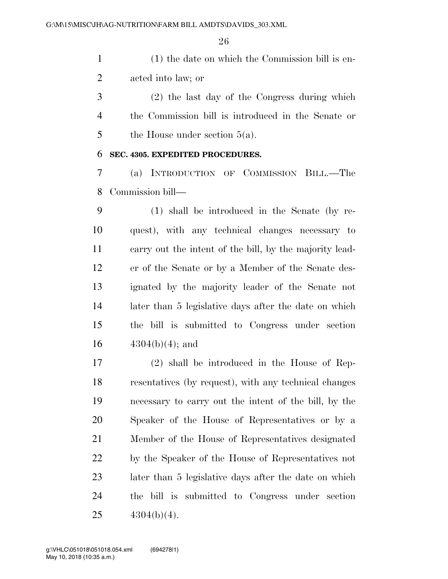(1) the date on which the Commission bill is en-acted into law; or

 (2) the last day of the Congress during which the Commission bill is introduced in the Senate or 5 the House under section  $5(a)$ .

#### **SEC. 4305. EXPEDITED PROCEDURES.**

 (a) INTRODUCTION OF COMMISSION BILL.—The Commission bill—

 (1) shall be introduced in the Senate (by re- quest), with any technical changes necessary to carry out the intent of the bill, by the majority lead- er of the Senate or by a Member of the Senate des- ignated by the majority leader of the Senate not later than 5 legislative days after the date on which the bill is submitted to Congress under section  $4304(b)(4)$ ; and

 (2) shall be introduced in the House of Rep- resentatives (by request), with any technical changes necessary to carry out the intent of the bill, by the Speaker of the House of Representatives or by a Member of the House of Representatives designated by the Speaker of the House of Representatives not later than 5 legislative days after the date on which the bill is submitted to Congress under section  $4304(b)(4)$ .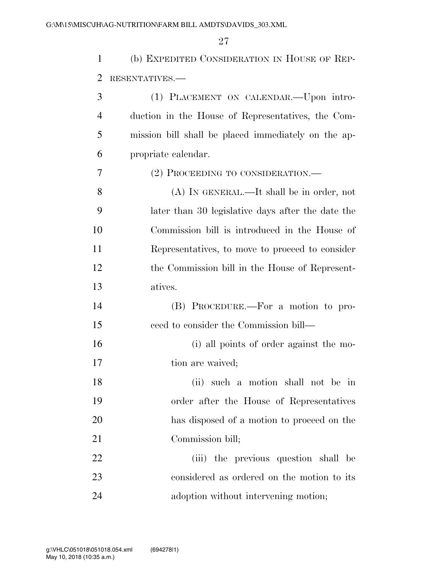(b) EXPEDITED CONSIDERATION IN HOUSE OF REP-RESENTATIVES.—

| 3              | (1) PLACEMENT ON CALENDAR.—Upon intro-              |
|----------------|-----------------------------------------------------|
| $\overline{4}$ | duction in the House of Representatives, the Com-   |
| 5              | mission bill shall be placed immediately on the ap- |
| 6              | propriate calendar.                                 |
| 7              | (2) PROCEEDING TO CONSIDERATION.—                   |
| 8              | (A) IN GENERAL.—It shall be in order, not           |
| 9              | later than 30 legislative days after the date the   |
| 10             | Commission bill is introduced in the House of       |
| 11             | Representatives, to move to proceed to consider     |
| 12             | the Commission bill in the House of Represent-      |
| 13             | atives.                                             |
| 14             | (B) PROCEDURE.—For a motion to pro-                 |
| 15             | ceed to consider the Commission bill—               |
| 16             | (i) all points of order against the mo-             |
| 17             | tion are waived;                                    |
| 18             | such a motion shall not be in<br>(ii)               |
| 19             | order after the House of Representatives            |
| 20             | has disposed of a motion to proceed on the          |
| 21             | Commission bill;                                    |
| 22             | (iii) the previous question shall be                |
| 23             | considered as ordered on the motion to its          |
| 24             | adoption without intervening motion;                |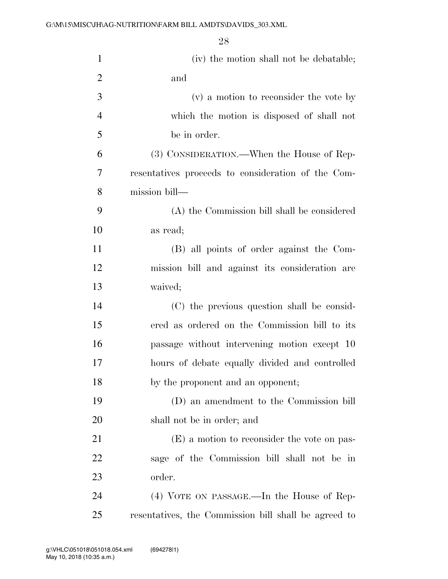| $\mathbf{1}$   | (iv) the motion shall not be debatable;              |
|----------------|------------------------------------------------------|
| $\overline{2}$ | and                                                  |
| 3              | (v) a motion to reconsider the vote by               |
| $\overline{4}$ | which the motion is disposed of shall not            |
| 5              | be in order.                                         |
| 6              | (3) CONSIDERATION.—When the House of Rep-            |
| $\overline{7}$ | resentatives proceeds to consideration of the Com-   |
| 8              | mission bill—                                        |
| 9              | (A) the Commission bill shall be considered          |
| 10             | as read;                                             |
| 11             | (B) all points of order against the Com-             |
| 12             | mission bill and against its consideration are       |
| 13             | waived;                                              |
| 14             | (C) the previous question shall be consid-           |
| 15             | ered as ordered on the Commission bill to its        |
| 16             | passage without intervening motion except 10         |
| 17             | hours of debate equally divided and controlled       |
| 18             | by the proponent and an opponent;                    |
| 19             | (D) an amendment to the Commission bill              |
| <b>20</b>      | shall not be in order; and                           |
| 21             | (E) a motion to reconsider the vote on pas-          |
| 22             | sage of the Commission bill shall not be in          |
| 23             | order.                                               |
| 24             | (4) VOTE ON PASSAGE.—In the House of Rep-            |
| 25             | resentatives, the Commission bill shall be agreed to |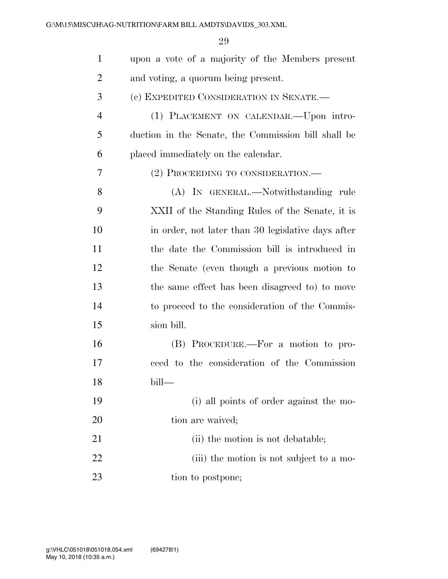| $\mathbf{1}$   | upon a vote of a majority of the Members present    |
|----------------|-----------------------------------------------------|
| $\overline{2}$ | and voting, a quorum being present.                 |
| 3              | (c) EXPEDITED CONSIDERATION IN SENATE.—             |
| $\overline{4}$ | (1) PLACEMENT ON CALENDAR. - Upon intro-            |
| 5              | duction in the Senate, the Commission bill shall be |
| 6              | placed immediately on the calendar.                 |
| 7              | (2) PROCEEDING TO CONSIDERATION.-                   |
| 8              | (A) IN GENERAL.—Notwithstanding rule                |
| 9              | XXII of the Standing Rules of the Senate, it is     |
| 10             | in order, not later than 30 legislative days after  |
| 11             | the date the Commission bill is introduced in       |
| 12             | the Senate (even though a previous motion to        |
| 13             | the same effect has been disagreed to) to move      |
| 14             | to proceed to the consideration of the Commis-      |
| 15             | sion bill.                                          |
| 16             | (B) PROCEDURE.—For a motion to pro-                 |
| 17             | ceed to the consideration of the Commission         |
| 18             | bill-                                               |
| 19             | (i) all points of order against the mo-             |
| 20             | tion are waived;                                    |
| 21             | (ii) the motion is not debatable;                   |
| 22             | (iii) the motion is not subject to a mo-            |
| 23             | tion to postpone;                                   |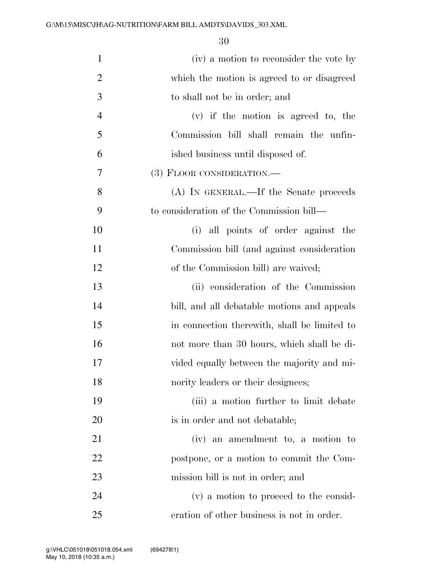| $\mathbf{1}$   | (iv) a motion to reconsider the vote by      |
|----------------|----------------------------------------------|
| $\overline{2}$ | which the motion is agreed to or disagreed   |
| 3              | to shall not be in order; and                |
| $\overline{4}$ | $(v)$ if the motion is agreed to, the        |
| 5              | Commission bill shall remain the unfin-      |
| 6              | ished business until disposed of.            |
| 7              | (3) FLOOR CONSIDERATION.—                    |
| 8              | (A) IN GENERAL.—If the Senate proceeds       |
| 9              | to consideration of the Commission bill—     |
| 10             | (i) all points of order against the          |
| 11             | Commission bill (and against consideration   |
| 12             | of the Commission bill) are waived;          |
| 13             | (ii) consideration of the Commission         |
| 14             | bill, and all debatable motions and appeals  |
| 15             | in connection therewith, shall be limited to |
| 16             | not more than 30 hours, which shall be di-   |
| 17             | vided equally between the majority and mi-   |
| 18             | nority leaders or their designees;           |
| 19             | (iii) a motion further to limit debate       |
| 20             | is in order and not debatable;               |
| 21             | (iv) an amendment to, a motion to            |
| 22             | postpone, or a motion to commit the Com-     |
| 23             | mission bill is not in order; and            |
| 24             | (v) a motion to proceed to the consid-       |
| 25             | eration of other business is not in order.   |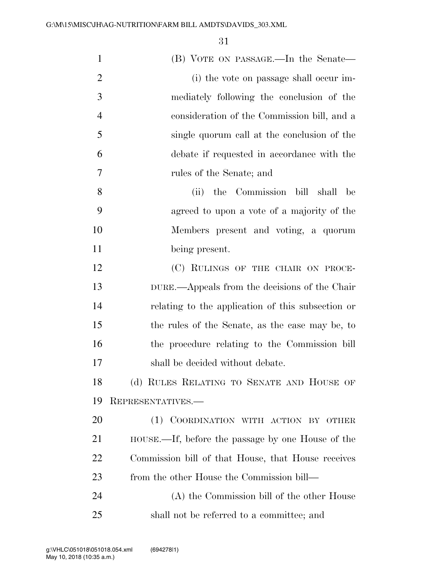| $\mathbf{1}$   | (B) VOTE ON PASSAGE.—In the Senate—                |
|----------------|----------------------------------------------------|
| $\overline{2}$ | (i) the vote on passage shall occur im-            |
| 3              | mediately following the conclusion of the          |
| $\overline{4}$ | consideration of the Commission bill, and a        |
| 5              | single quorum call at the conclusion of the        |
| 6              | debate if requested in accordance with the         |
| 7              | rules of the Senate; and                           |
| 8              | the Commission bill shall<br>(ii)<br>be            |
| 9              | agreed to upon a vote of a majority of the         |
| 10             | Members present and voting, a quorum               |
| 11             | being present.                                     |
| 12             | (C) RULINGS OF THE CHAIR ON PROCE-                 |
| 13             | DURE.—Appeals from the decisions of the Chair      |
| 14             | relating to the application of this subsection or  |
| 15             | the rules of the Senate, as the case may be, to    |
| 16             | the procedure relating to the Commission bill      |
| 17             | shall be decided without debate.                   |
| 18             | (d) RULES RELATING TO SENATE AND HOUSE OF          |
| 19             | REPRESENTATIVES.-                                  |
| 20             | COORDINATION WITH ACTION BY OTHER<br>(1)           |
| 21             | HOUSE.—If, before the passage by one House of the  |
| 22             | Commission bill of that House, that House receives |
| 23             | from the other House the Commission bill—          |
| 24             | (A) the Commission bill of the other House         |
| 25             | shall not be referred to a committee; and          |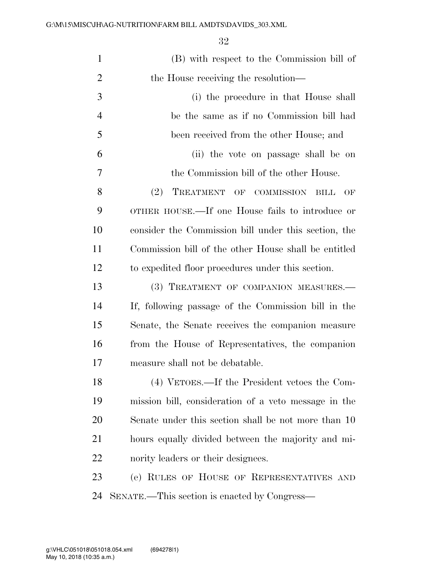| $\mathbf{1}$   | (B) with respect to the Commission bill of             |
|----------------|--------------------------------------------------------|
| $\overline{2}$ | the House receiving the resolution—                    |
| 3              | (i) the procedure in that House shall                  |
| $\overline{4}$ | be the same as if no Commission bill had               |
| 5              | been received from the other House; and                |
| 6              | (ii) the vote on passage shall be on                   |
| 7              | the Commission bill of the other House.                |
| 8              | (2)<br>TREATMENT<br>OF COMMISSION<br><b>BILL</b><br>OF |
| 9              | OTHER HOUSE.—If one House fails to introduce or        |
| 10             | consider the Commission bill under this section, the   |
| 11             | Commission bill of the other House shall be entitled   |
| 12             | to expedited floor procedures under this section.      |
| 13             | (3) TREATMENT OF COMPANION MEASURES.-                  |
| 14             | If, following passage of the Commission bill in the    |
| 15             | Senate, the Senate receives the companion measure      |
| 16             | from the House of Representatives, the companion       |
| 17             | measure shall not be debatable.                        |
| 18             | (4) VETOES.—If the President vetoes the Com-           |
| 19             | mission bill, consideration of a veto message in the   |
| <b>20</b>      | Senate under this section shall be not more than 10    |
| 21             | hours equally divided between the majority and mi-     |
| 22             | nority leaders or their designees.                     |
| 23             | (e) RULES OF HOUSE OF REPRESENTATIVES AND              |
| 24             | SENATE.—This section is enacted by Congress—           |